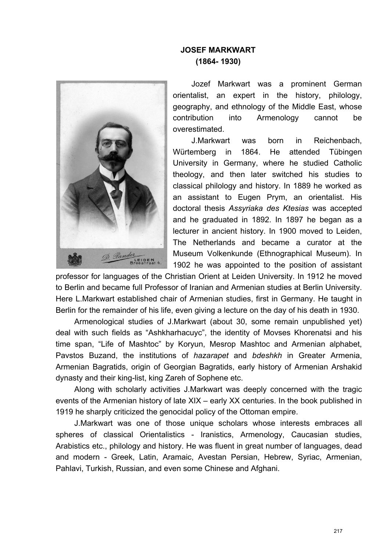## **JOSEF MARKWART (1864- 1930)**



Jozef Markwart was a prominent German orientalist, an expert in the history, philology, geography, and ethnology of the Middle East, whose contribution into Armenology cannot be overestimated.

J.Markwart was born in Reichenbach, Würtemberg in 1864. He attended Tübingen University in Germany, where he studied Catholic theology, and then later switched his studies to classical philology and history. In 1889 he worked as an assistant to Eugen Prym, an orientalist. His doctoral thesis *Assyriaka des Ktesias* was accepted and he graduated in 1892. In 1897 he began as a lecturer in ancient history. In 1900 moved to Leiden, The Netherlands and became a curator at the Museum Volkenkunde (Ethnographical Museum). In 1902 he was appointed to the position of assistant

professor for languages of the Christian Orient at Leiden University. In 1912 he moved to Berlin and became full Professor of Iranian and Armenian studies at Berlin University. Here L.Markwart established chair of Armenian studies, first in Germany. He taught in Berlin for the remainder of his life, even giving a lecture on the day of his death in 1930.

Armenological studies of J.Markwart (about 30, some remain unpublished yet) deal with such fields as "Ashkharhacuyc", the identity of Movses Khorenatsi and his time span, "Life of Mashtoc" by Koryun, Mesrop Mashtoc and Armenian alphabet, Pavstos Buzand, the institutions of *hazarapet* and *bdeshkh* in Greater Armenia, Armenian Bagratids, origin of Georgian Bagratids, early history of Armenian Arshakid dynasty and their king-list, king Zareh of Sophene etc.

Along with scholarly activities J.Markwart was deeply concerned with the tragic events of the Armenian history of late XIX – early XX centuries. In the book published in 1919 he sharply criticized the genocidal policy of the Ottoman empire.

J.Markwart was one of those unique scholars whose interests embraces all spheres of classical Orientalistics - Iranistics, Armenology, Caucasian studies, Arabistics etc., philology and history. He was fluent in great number of languages, dead and modern - Greek, Latin, Aramaic, Avestan Persian, Hebrew, Syriac, Armenian, Pahlavi, Turkish, Russian, and even some Chinese and Afghani.